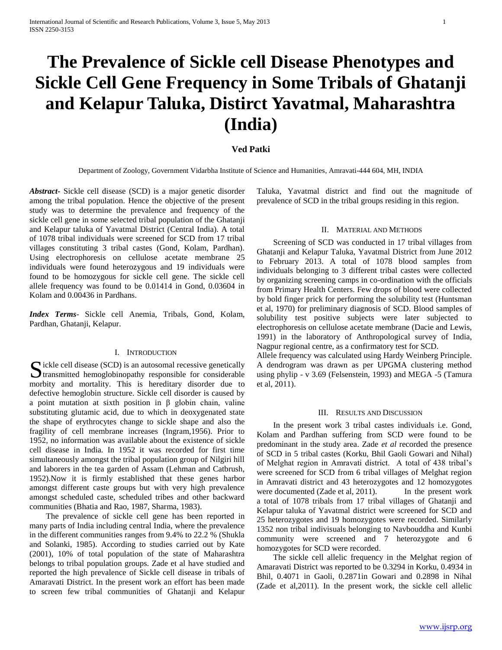# **The Prevalence of Sickle cell Disease Phenotypes and Sickle Cell Gene Frequency in Some Tribals of Ghatanji and Kelapur Taluka, Distirct Yavatmal, Maharashtra (India)**

## **Ved Patki**

Department of Zoology, Government Vidarbha Institute of Science and Humanities, Amravati-444 604, MH, INDIA

*Abstract***-** Sickle cell disease (SCD) is a major genetic disorder among the tribal population. Hence the objective of the present study was to determine the prevalence and frequency of the sickle cell gene in some selected tribal population of the Ghatanji and Kelapur taluka of Yavatmal District (Central India). A total of 1078 tribal individuals were screened for SCD from 17 tribal villages constituting 3 tribal castes (Gond, Kolam, Pardhan). Using electrophoresis on cellulose acetate membrane 25 individuals were found heterozygous and 19 individuals were found to be homozygous for sickle cell gene. The sickle cell allele frequency was found to be 0.01414 in Gond, 0.03604 in Kolam and 0.00436 in Pardhans.

*Index Terms*- Sickle cell Anemia, Tribals, Gond, Kolam, Pardhan, Ghatanji, Kelapur.

### I. INTRODUCTION

Sickle cell disease (SCD) is an autosomal recessive genetically<br>transmitted hemoglobinopathy responsible for considerable transmitted hemoglobinopathy responsible for considerable morbity and mortality. This is hereditary disorder due to defective hemoglobin structure. Sickle cell disorder is caused by a point mutation at sixth position in β globin chain, valine substituting glutamic acid, due to which in deoxygenated state the shape of erythrocytes change to sickle shape and also the fragility of cell membrane increases (Ingram,1956). Prior to 1952, no information was available about the existence of sickle cell disease in India. In 1952 it was recorded for first time simultaneously amongst the tribal population group of Nilgiri hill and laborers in the tea garden of Assam (Lehman and Catbrush, 1952).Now it is firmly established that these genes harbor amongst different caste groups but with very high prevalence amongst scheduled caste, scheduled tribes and other backward communities (Bhatia and Rao, 1987, Sharma, 1983).

 The prevalence of sickle cell gene has been reported in many parts of India including central India, where the prevalence in the different communities ranges from 9.4% to 22.2 % (Shukla and Solanki, 1985). According to studies carried out by Kate (2001), 10% of total population of the state of Maharashtra belongs to tribal population groups. Zade et al have studied and reported the high prevalence of Sickle cell disease in tribals of Amaravati District. In the present work an effort has been made to screen few tribal communities of Ghatanji and Kelapur

Taluka, Yavatmal district and find out the magnitude of prevalence of SCD in the tribal groups residing in this region.

## II. MATERIAL AND METHODS

 Screening of SCD was conducted in 17 tribal villages from Ghatanji and Kelapur Taluka, Yavatmal District from June 2012 to February 2013. A total of 1078 blood samples from individuals belonging to 3 different tribal castes were collected by organizing screening camps in co-ordination with the officials from Primary Health Centers. Few drops of blood were collected by bold finger prick for performing the solubility test (Huntsman et al, 1970) for preliminary diagnosis of SCD. Blood samples of solubility test positive subjects were later subjected to electrophoresis on cellulose acetate membrane (Dacie and Lewis, 1991) in the laboratory of Anthropological survey of India, Nagpur regional centre, as a confirmatory test for SCD.

Allele frequency was calculated using Hardy Weinberg Principle. A dendrogram was drawn as per UPGMA clustering method using phylip - v 3.69 (Felsenstein, 1993) and MEGA -5 (Tamura et al, 2011).

#### III. RESULTS AND DISCUSSION

 In the present work 3 tribal castes individuals i.e. Gond, Kolam and Pardhan suffering from SCD were found to be predominant in the study area. Zade *et al* recorded the presence of SCD in 5 tribal castes (Korku, Bhil Gaoli Gowari and Nihal) of Melghat region in Amravati district. A total of 438 tribal's were screened for SCD from 6 tribal villages of Melghat region in Amravati district and 43 heterozygotes and 12 homozygotes were documented (Zade et al, 2011). In the present work a total of 1078 tribals from 17 tribal villages of Ghatanji and Kelapur taluka of Yavatmal district were screened for SCD and 25 heterozygotes and 19 homozygotes were recorded. Similarly 1352 non tribal indivisuals belonging to Navbouddha and Kunbi community were screened and 7 heterozygote and 6 homozygotes for SCD were recorded.

 The sickle cell allelic frequency in the Melghat region of Amaravati District was reported to be 0.3294 in Korku, 0.4934 in Bhil, 0.4071 in Gaoli, 0.2871in Gowari and 0.2898 in Nihal (Zade et al,2011). In the present work, the sickle cell allelic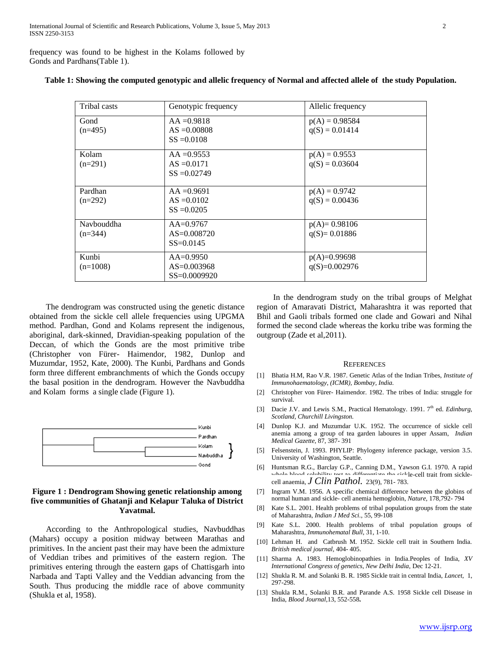frequency was found to be highest in the Kolams followed by Gonds and Pardhans(Table 1).

| Tribal casts            | Genotypic frequency                                  | Allelic frequency                    |
|-------------------------|------------------------------------------------------|--------------------------------------|
| Gond<br>$(n=495)$       | $AA = 0.9818$<br>$AS = 0.00808$<br>$SS = 0.0108$     | $p(A) = 0.98584$<br>$q(S) = 0.01414$ |
| Kolam<br>$(n=291)$      | $AA = 0.9553$<br>$AS = 0.0171$<br>$SS = 0.02749$     | $p(A) = 0.9553$<br>$q(S) = 0.03604$  |
| Pardhan<br>$(n=292)$    | $AA = 0.9691$<br>$AS = 0.0102$<br>$SS = 0.0205$      | $p(A) = 0.9742$<br>$q(S) = 0.00436$  |
| Navbouddha<br>$(n=344)$ | $AA=0.9767$<br>$AS = 0.008720$<br>$SS = 0.0145$      | $p(A)=0.98106$<br>$q(S) = 0.01886$   |
| Kunbi<br>$(n=1008)$     | $AA = 0.9950$<br>$AS = 0.003968$<br>$SS = 0.0009920$ | $p(A)=0.99698$<br>$q(S)=0.002976$    |

#### **Table 1: Showing the computed genotypic and allelic frequency of Normal and affected allele of the study Population.**

 The dendrogram was constructed using the genetic distance obtained from the sickle cell allele frequencies using UPGMA method. Pardhan, Gond and Kolams represent the indigenous, aboriginal, dark-skinned, Dravidian-speaking population of the Deccan, of which the Gonds are the most primitive tribe (Christopher von Fürer- Haimendor, 1982, Dunlop and Muzumdar, 1952, Kate, 2000). The Kunbi, Pardhans and Gonds form three different embranchments of which the Gonds occupy the basal position in the dendrogram. However the Navbuddha and Kolam forms a single clade (Figure 1).



## **Figure 1 : Dendrogram Showing genetic relationship among five communities of Ghatanji and Kelapur Taluka of District Yavatmal.**

 According to the Anthropological studies, Navbuddhas (Mahars) occupy a position midway between Marathas and primitives. In the ancient past their may have been the admixture of Veddian tribes and primitives of the eastern region. The primitives entering through the eastern gaps of Chattisgarh into Narbada and Tapti Valley and the Veddian advancing from the South. Thus producing the middle race of above community (Shukla et al, 1958).

 In the dendrogram study on the tribal groups of Melghat region of Amaravati District, Maharashtra it was reported that Bhil and Gaoli tribals formed one clade and Gowari and Nihal formed the second clade whereas the korku tribe was forming the outgroup (Zade et al,2011).

#### **REFERENCES**

- [1] Bhatia H.M, Rao V.R. 1987. Genetic Atlas of the Indian Tribes, *Institute of Immunohaematology, (ICMR), Bombay, India.*
- [2] Christopher von Fürer- Haimendor. 1982. The tribes of India: struggle for survival.
- [3] Dacie J.V. and Lewis S.M., Practical Hematology. 1991. 7<sup>th</sup> ed. *Edinburg*, *Scotland, Churchill Livingston.*
- [4] Dunlop K.J. and Muzumdar U.K. 1952. The occurrence of sickle cell anemia among a group of tea garden laboures in upper Assam, *Indian Medical Gazette,* 87, 387- 391
- [5] Felsenstein, J. 1993. PHYLIP: Phylogeny inference package, version 3.5. University of Washington, Seattle.
- [6] Huntsman R.G., Barclay G.P., Canning D.M., Yawson G.I. 1970. A rapid whole blood solubility test to differentiate the sickle-cell trait from sicklecell anaemia, *J Clin Pathol.* 23(9), 781- 783.
- [7] Ingram V.M. 1956. A specific chemical difference between the globins of normal human and sickle- cell anemia hemoglobin, *Nature,* 178,792- 794
- [8] Kate S.L. 2001. Health problems of tribal population groups from the state of Maharashtra, *Indian J Med Sci.,* 55, 99-108
- [9] Kate S.L. 2000. Health problems of tribal population groups of Maharashtra, *Immunohematal Bull*, 31, 1-10.
- [10] Lehman H. and Catbrush M. 1952. Sickle cell trait in Southern India. *British medical journal,* 404- 405.
- [11] Sharma A. 1983. Hemoglobinopathies in India.Peoples of India, *XV International Congress of genetics, New Delhi India,* Dec 12-21.
- [12] Shukla R. M. and Solanki B. R. 1985 Sickle trait in central India, *Lancet,* 1, 297-298.
- [13] Shukla R.M., Solanki B.R. and Parande A.S. 1958 Sickle cell Disease in India, *Blood Journal,*13, 552-558**.**